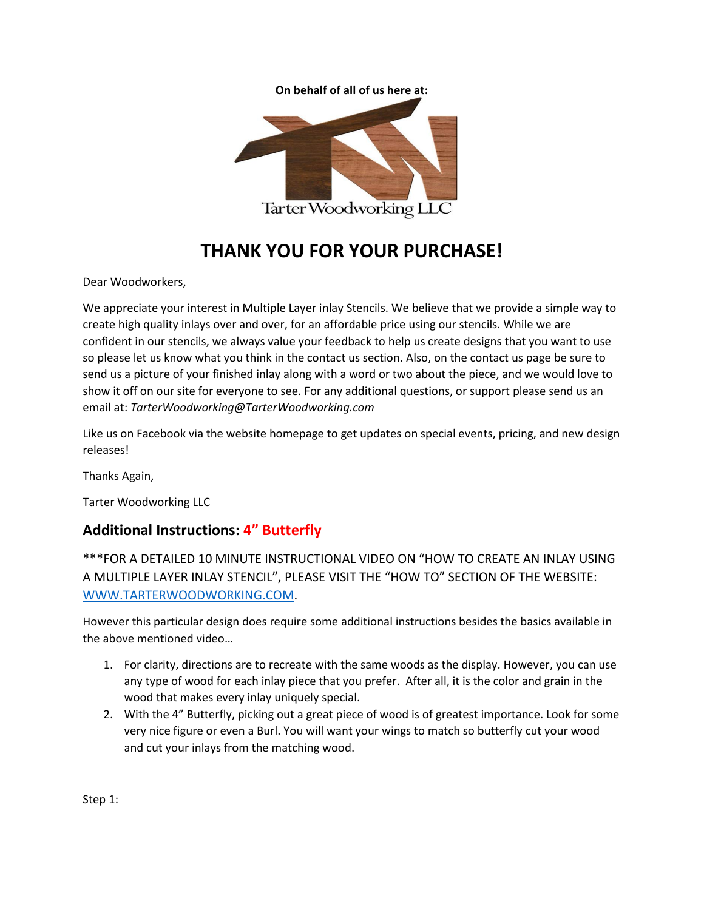



## **THANK YOU FOR YOUR PURCHASE!**

Dear Woodworkers,

We appreciate your interest in Multiple Layer inlay Stencils. We believe that we provide a simple way to create high quality inlays over and over, for an affordable price using our stencils. While we are confident in our stencils, we always value your feedback to help us create designs that you want to use so please let us know what you think in the contact us section. Also, on the contact us page be sure to send us a picture of your finished inlay along with a word or two about the piece, and we would love to show it off on our site for everyone to see. For any additional questions, or support please send us an email at: *TarterWoodworking@TarterWoodworking.com*

Like us on Facebook via the website homepage to get updates on special events, pricing, and new design releases!

Thanks Again,

Tarter Woodworking LLC

## **Additional Instructions: 4" Butterfly**

\*\*\*FOR A DETAILED 10 MINUTE INSTRUCTIONAL VIDEO ON "HOW TO CREATE AN INLAY USING A MULTIPLE LAYER INLAY STENCIL", PLEASE VISIT THE "HOW TO" SECTION OF THE WEBSITE: [WWW.TARTERWOODWORKING.COM.](http://www.tarterwoodworking.com/)

However this particular design does require some additional instructions besides the basics available in the above mentioned video…

- 1. For clarity, directions are to recreate with the same woods as the display. However, you can use any type of wood for each inlay piece that you prefer. After all, it is the color and grain in the wood that makes every inlay uniquely special.
- 2. With the 4" Butterfly, picking out a great piece of wood is of greatest importance. Look for some very nice figure or even a Burl. You will want your wings to match so butterfly cut your wood and cut your inlays from the matching wood.